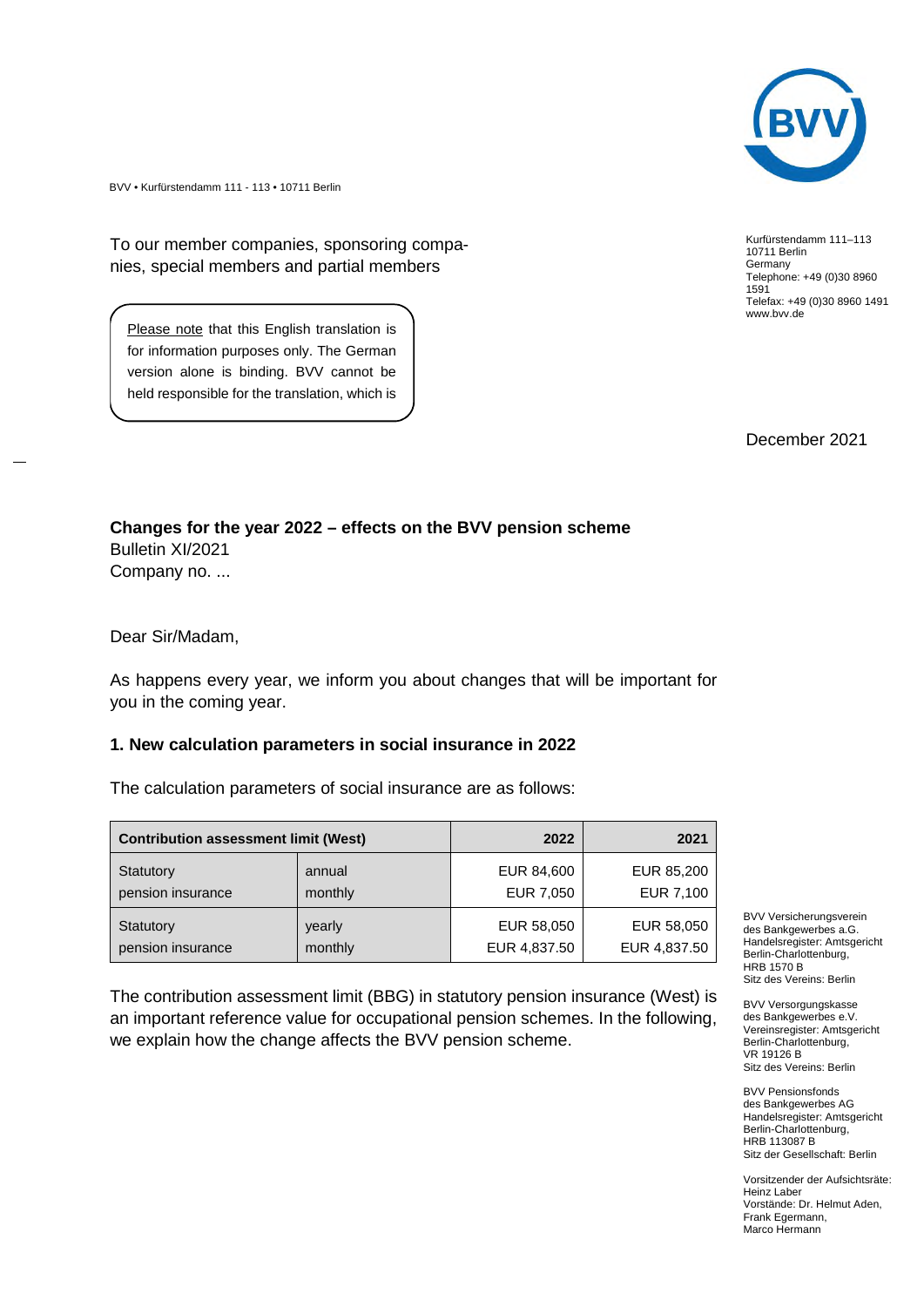

BVV • Kurfürstendamm 111 - 113 • 10711 Berlin

To our member companies, sponsoring companies, special members and partial members

Please note that this English translation is for information purposes only. The German version alone is binding. BVV cannot be held responsible for the translation, which is

Kurfürstendamm 111–113 10711 Berlin Germany Telephone: +49 (0)30 8960 1591 Telefax: +49 (0)30 8960 1491 www.bvv.de

December 2021

**Changes for the year 2022 – effects on the BVV pension scheme** Bulletin XI/2021 Company no. ...

Dear Sir/Madam,

of no legal value.

As happens every year, we inform you about changes that will be important for you in the coming year.

#### **1. New calculation parameters in social insurance in 2022**

The calculation parameters of social insurance are as follows:

| <b>Contribution assessment limit (West)</b> |         | 2022         | 2021         |
|---------------------------------------------|---------|--------------|--------------|
| Statutory                                   | annual  | EUR 84,600   | EUR 85,200   |
| pension insurance                           | monthly | EUR 7,050    | EUR 7,100    |
| Statutory                                   | yearly  | EUR 58,050   | EUR 58,050   |
| pension insurance                           | monthly | EUR 4,837.50 | EUR 4,837.50 |

The contribution assessment limit (BBG) in statutory pension insurance (West) is an important reference value for occupational pension schemes. In the following, we explain how the change affects the BVV pension scheme.

BVV Versicherungsverein des Bankgewerbes a.G. Handelsregister: Amtsgericht Berlin-Charlottenburg, HRB 1570 B Sitz des Vereins: Berlin

BVV Versorgungskasse des Bankgewerbes e.V. Vereinsregister: Amtsgericht Berlin-Charlottenburg, VR 19126 B Sitz des Vereins: Berlin

BVV Pensionsfonds des Bankgewerbes AG Handelsregister: Amtsgericht Berlin-Charlottenburg, HRB 113087 B Sitz der Gesellschaft: Berlin

Vorsitzender der Aufsichtsräte: Heinz Laber Vorstände: Dr. Helmut Aden, Frank Egermann, Marco Hermann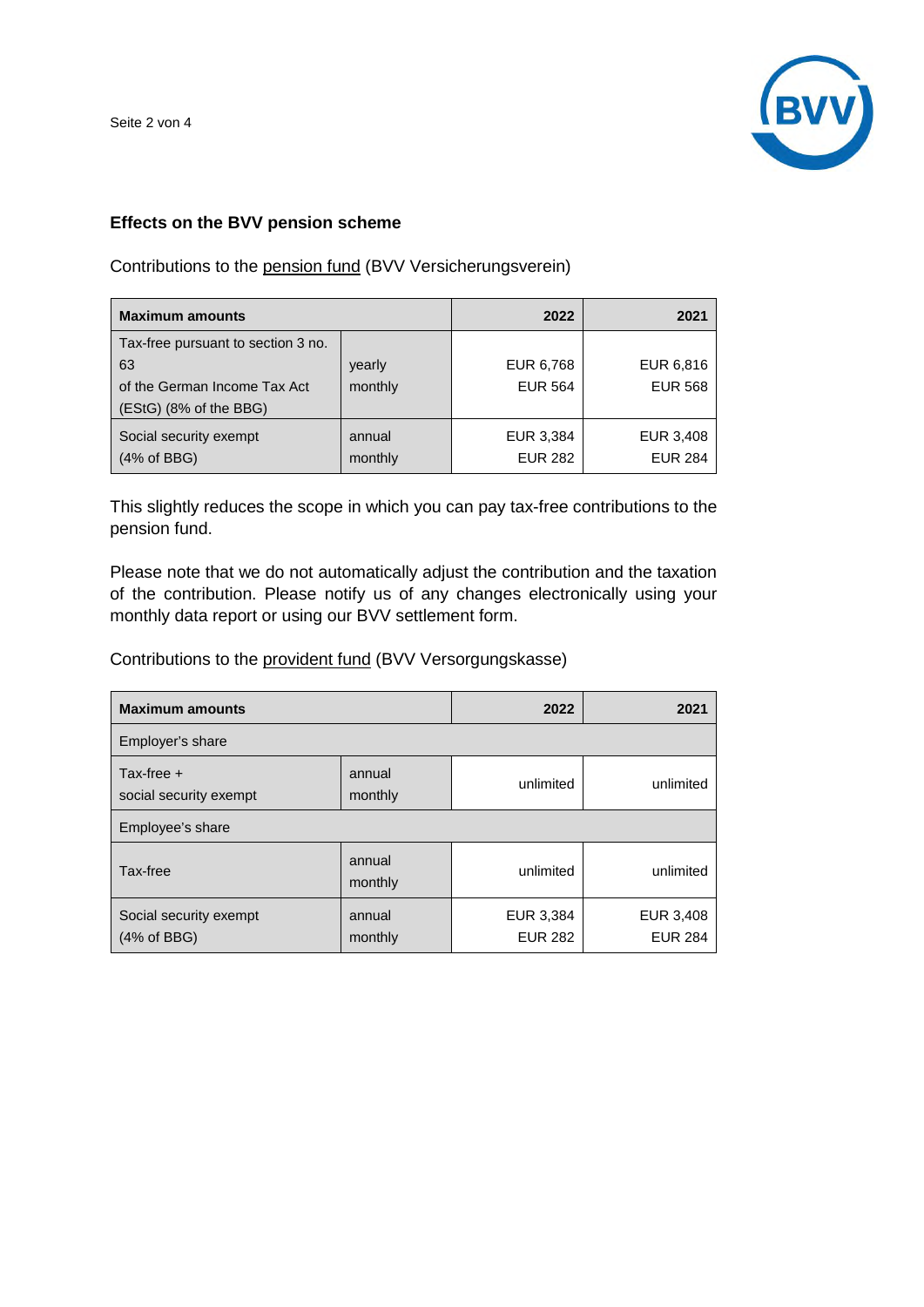Seite 2 von 4



# **Effects on the BVV pension scheme**

Contributions to the pension fund (BVV Versicherungsverein)

| <b>Maximum amounts</b>             |         | 2022           | 2021           |
|------------------------------------|---------|----------------|----------------|
| Tax-free pursuant to section 3 no. |         |                |                |
| 63                                 | yearly  | EUR 6,768      | EUR 6,816      |
| of the German Income Tax Act       | monthly | <b>EUR 564</b> | <b>EUR 568</b> |
| $(EStG)$ (8% of the BBG)           |         |                |                |
| Social security exempt             | annual  | EUR 3,384      | EUR 3,408      |
| (4% of BBG)                        | monthly | <b>EUR 282</b> | <b>EUR 284</b> |

This slightly reduces the scope in which you can pay tax-free contributions to the pension fund.

Please note that we do not automatically adjust the contribution and the taxation of the contribution. Please notify us of any changes electronically using your monthly data report or using our BVV settlement form.

Contributions to the provident fund (BVV Versorgungskasse)

| <b>Maximum amounts</b>                          |                   | 2022                        | 2021                        |  |  |
|-------------------------------------------------|-------------------|-----------------------------|-----------------------------|--|--|
| Employer's share                                |                   |                             |                             |  |  |
| Tax-free $+$<br>social security exempt          | annual<br>monthly | unlimited                   | unlimited                   |  |  |
| Employee's share                                |                   |                             |                             |  |  |
| Tax-free                                        | annual<br>monthly | unlimited                   | unlimited                   |  |  |
| Social security exempt<br>$(4% \text{ of BBG})$ | annual<br>monthly | EUR 3,384<br><b>EUR 282</b> | EUR 3,408<br><b>EUR 284</b> |  |  |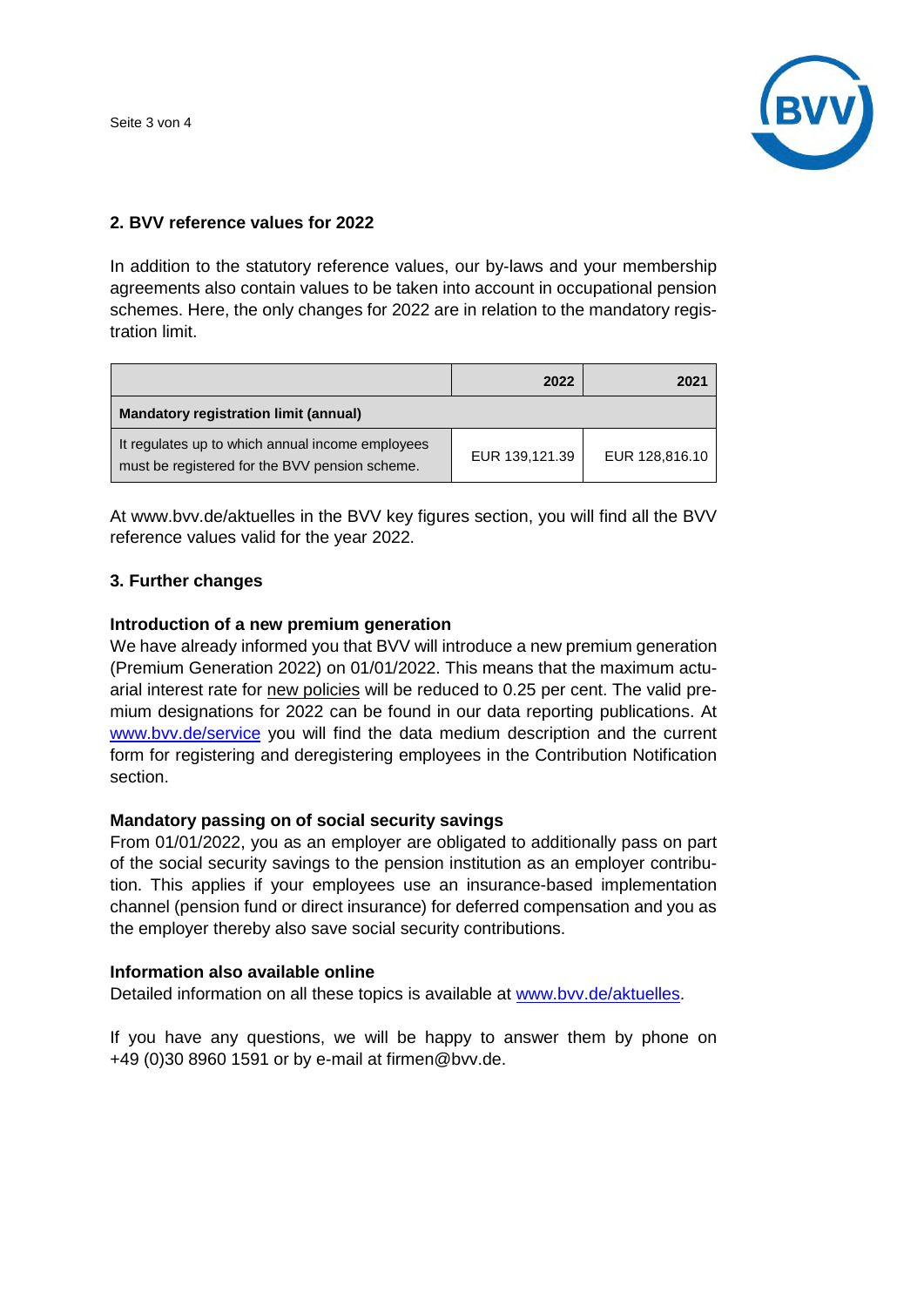Seite 3 von 4



# **2. BVV reference values for 2022**

In addition to the statutory reference values, our by-laws and your membership agreements also contain values to be taken into account in occupational pension schemes. Here, the only changes for 2022 are in relation to the mandatory registration limit.

|                                                                                                    | 2022           | 2021           |  |  |
|----------------------------------------------------------------------------------------------------|----------------|----------------|--|--|
| <b>Mandatory registration limit (annual)</b>                                                       |                |                |  |  |
| It regulates up to which annual income employees<br>must be registered for the BVV pension scheme. | EUR 139,121.39 | EUR 128,816.10 |  |  |

At www.bvv.de/aktuelles in the BVV key figures section, you will find all the BVV reference values valid for the year 2022.

# **3. Further changes**

## **Introduction of a new premium generation**

We have already informed you that BVV will introduce a new premium generation (Premium Generation 2022) on 01/01/2022. This means that the maximum actuarial interest rate for new policies will be reduced to 0.25 per cent. The valid premium designations for 2022 can be found in our data reporting publications. At www.bvv.de/service you will find the data medium description and the current form for registering and deregistering employees in the Contribution Notification section.

## **Mandatory passing on of social security savings**

From 01/01/2022, you as an employer are obligated to additionally pass on part of the social security savings to the pension institution as an employer contribution. This applies if your employees use an insurance-based implementation channel (pension fund or direct insurance) for deferred compensation and you as the employer thereby also save social security contributions.

## **Information also available online**

Detailed information on all these topics is available at www.bvv.de/aktuelles.

If you have any questions, we will be happy to answer them by phone on +49 (0)30 8960 1591 or by e-mail at firmen@bvv.de.